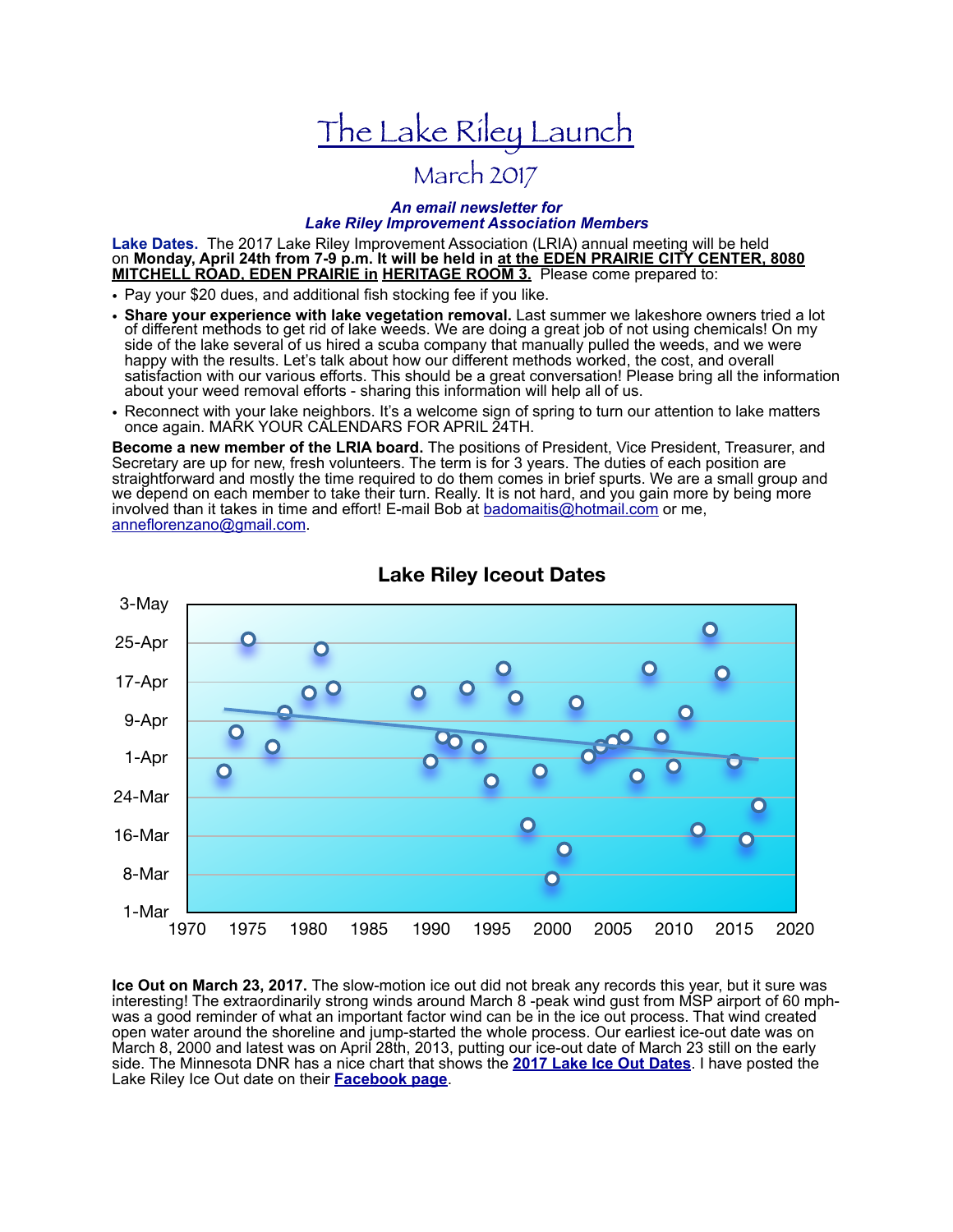# The Lake Riley Launch

## March 2017

#### *An email newsletter for Lake Riley Improvement Association Members*

**Lake Dates.** The 2017 Lake Riley Improvement Association (LRIA) annual meeting will be held on **Monday, April 24th from 7-9 p.m. It will be held in at the EDEN PRAIRIE CITY CENTER, 8080 MITCHELL ROAD, EDEN PRAIRIE in HERITAGE ROOM 3.** Please come prepared to:

- Pay your \$20 dues, and additional fish stocking fee if you like.
- **Share your experience with lake vegetation removal.** Last summer we lakeshore owners tried a lot of different methods to get rid of lake weeds. We are doing a great job of not using chemicals! On my side of the lake several of us hired a scuba company that manually pulled the weeds, and we were happy with the results. Let's talk about how our different methods worked, the cost, and overall satisfaction with our various efforts. This should be a great conversation! Please bring all the information about your weed removal efforts - sharing this information will help all of us.
- Reconnect with your lake neighbors. It's a welcome sign of spring to turn our attention to lake matters once again. MARK YOUR CALENDARS FOR APRIL 24TH.

**Become a new member of the LRIA board.** The positions of President, Vice President, Treasurer, and Secretary are up for new, fresh volunteers. The term is for 3 years. The duties of each position are straightforward and mostly the time required to do them comes in brief spurts. We are a small group and we depend on each member to take their turn. Really. It is not hard, and you gain more by being more involved than it takes in time and effort! E-mail Bob at badomaitis@hotmail.com or me, anneflorenzano@gmail.com.



### **Lake Riley Iceout Dates**

**Ice Out on March 23, 2017.** The slow-motion ice out did not break any records this year, but it sure was interesting! The extraordinarily strong winds around March 8 -peak wind gust from MSP airport of 60 mphwas a good reminder of what an important factor wind can be in the ice out process. That wind created open water around the shoreline and jump-started the whole process. Our earliest ice-out date was on March 8, 2000 and latest was on April 28th, 2013, putting our ice-out date of March 23 still on the early side. The Minnesota DNR has a nice chart that shows the **2017 Lake Ice Out Dates**. I have posted the Lake Riley Ice Out date on their **Facebook page**.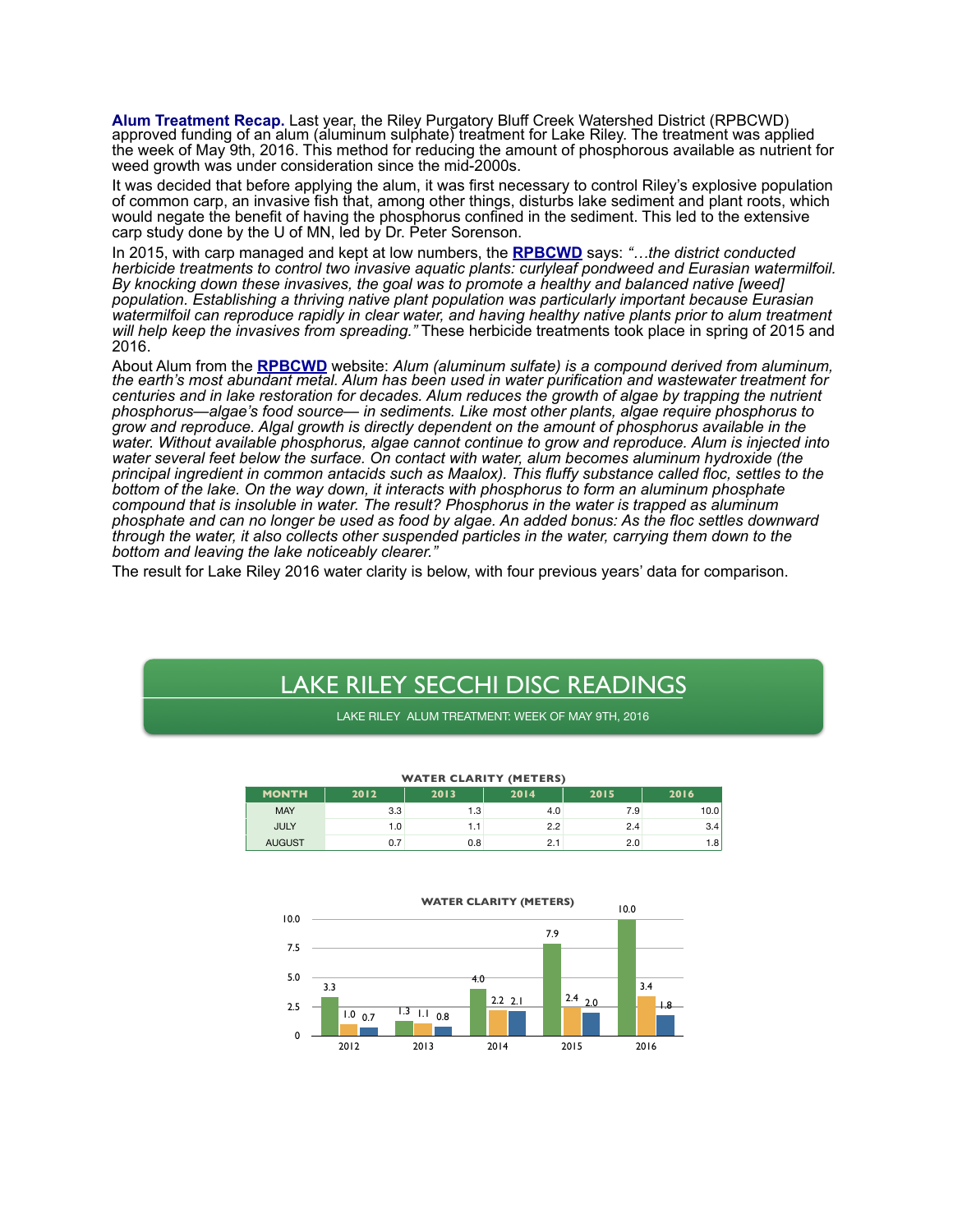**Alum Treatment Recap.** Last year, the Riley Purgatory Bluff Creek Watershed District (RPBCWD) approved funding of an alum (aluminum sulphate) treatment for Lake Riley. The treatment was applied the week of May 9th, 2016. This method for reducing the amount of phosphorous available as nutrient for weed growth was under consideration since the mid-2000s.

It was decided that before applying the alum, it was first necessary to control Riley's explosive population of common carp, an invasive fish that, among other things, disturbs lake sediment and plant roots, which would negate the benefit of having the phosphorus confined in the sediment. This led to the extensive carp study done by the U of MN, led by Dr. Peter Sorenson.

In 2015, with carp managed and kept at low numbers, the **RPBCWD** says: *"…the district conducted herbicide treatments to control two invasive aquatic plants: curlyleaf pondweed and Eurasian watermilfoil. By knocking down these invasives, the goal was to promote a healthy and balanced native [weed] population. Establishing a thriving native plant population was particularly important because Eurasian watermilfoil can reproduce rapidly in clear water, and having healthy native plants prior to alum treatment will help keep the invasives from spreading."* These herbicide treatments took place in spring of 2015 and 2016.

About Alum from the **RPBCWD** website: *Alum (aluminum sulfate) is a compound derived from aluminum, the earth's most abundant metal. Alum has been used in water purification and wastewater treatment for centuries and in lake restoration for decades. Alum reduces the growth of algae by trapping the nutrient phosphorus—algae's food source— in sediments. Like most other plants, algae require phosphorus to grow and reproduce. Algal growth is directly dependent on the amount of phosphorus available in the water. Without available phosphorus, algae cannot continue to grow and reproduce. Alum is injected into water several feet below the surface. On contact with water, alum becomes aluminum hydroxide (the principal ingredient in common antacids such as Maalox). This fluffy substance called floc, settles to the bottom of the lake. On the way down, it interacts with phosphorus to form an aluminum phosphate compound that is insoluble in water. The result? Phosphorus in the water is trapped as aluminum phosphate and can no longer be used as food by algae. An added bonus: As the floc settles downward through the water, it also collects other suspended particles in the water, carrying them down to the bottom and leaving the lake noticeably clearer."* 

The result for Lake Riley 2016 water clarity is below, with four previous years' data for comparison.

## LAKE RILEY SECCHI DISC READINGS

LAKE RILEY ALUM TREATMENT: WEEK OF MAY 9TH, 2016

| <b>WATER CLARITY (METERS)</b> |      |      |      |      |      |
|-------------------------------|------|------|------|------|------|
| <b>MONTH</b>                  | 2012 | 2013 | 2014 | 2015 | 2016 |
| <b>MAY</b>                    | 3.3  | 1.3  | 4.0  | 7.9  | 10.0 |
| <b>JULY</b>                   | 1.0  | 1.1  | 2.2  | 2.4  | 3.4  |
| <b>AUGUST</b>                 | 0.7  | 0.8  | 2.1  | 2.0  | 1.8  |